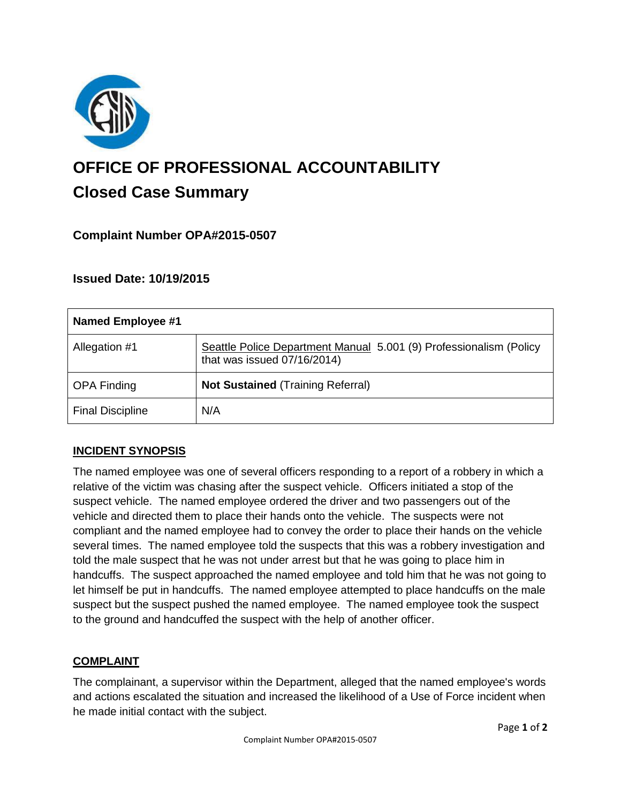

# **OFFICE OF PROFESSIONAL ACCOUNTABILITY Closed Case Summary**

## **Complaint Number OPA#2015-0507**

## **Issued Date: 10/19/2015**

| <b>Named Employee #1</b> |                                                                                                   |
|--------------------------|---------------------------------------------------------------------------------------------------|
| Allegation #1            | Seattle Police Department Manual 5.001 (9) Professionalism (Policy<br>that was issued 07/16/2014) |
| <b>OPA Finding</b>       | <b>Not Sustained (Training Referral)</b>                                                          |
| <b>Final Discipline</b>  | N/A                                                                                               |

## **INCIDENT SYNOPSIS**

The named employee was one of several officers responding to a report of a robbery in which a relative of the victim was chasing after the suspect vehicle. Officers initiated a stop of the suspect vehicle. The named employee ordered the driver and two passengers out of the vehicle and directed them to place their hands onto the vehicle. The suspects were not compliant and the named employee had to convey the order to place their hands on the vehicle several times. The named employee told the suspects that this was a robbery investigation and told the male suspect that he was not under arrest but that he was going to place him in handcuffs. The suspect approached the named employee and told him that he was not going to let himself be put in handcuffs. The named employee attempted to place handcuffs on the male suspect but the suspect pushed the named employee. The named employee took the suspect to the ground and handcuffed the suspect with the help of another officer.

#### **COMPLAINT**

The complainant, a supervisor within the Department, alleged that the named employee's words and actions escalated the situation and increased the likelihood of a Use of Force incident when he made initial contact with the subject.